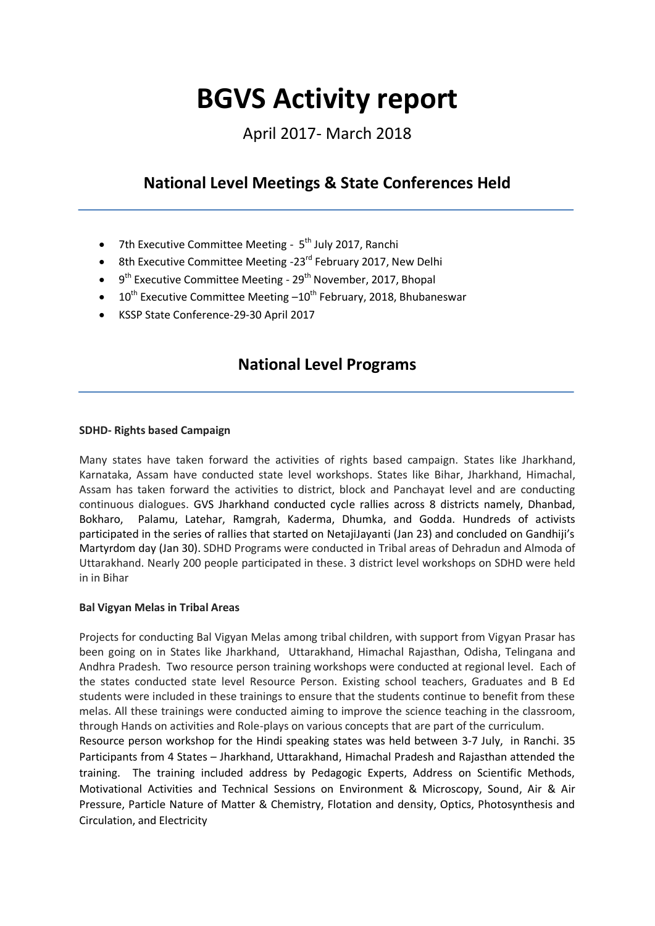# **BGVS Activity report**

April 2017- March 2018

# **National Level Meetings & State Conferences Held**

- 7th Executive Committee Meeting 5<sup>th</sup> July 2017, Ranchi
- $\bullet$  8th Executive Committee Meeting -23<sup>rd</sup> February 2017, New Delhi
- 9<sup>th</sup> Executive Committee Meeting 29<sup>th</sup> November, 2017, Bhopal
- $\bullet$  10<sup>th</sup> Executive Committee Meeting  $-10^{th}$  February, 2018, Bhubaneswar
- KSSP State Conference-29-30 April 2017

## **National Level Programs**

### **SDHD- Rights based Campaign**

Many states have taken forward the activities of rights based campaign. States like Jharkhand, Karnataka, Assam have conducted state level workshops. States like Bihar, Jharkhand, Himachal, Assam has taken forward the activities to district, block and Panchayat level and are conducting continuous dialogues. GVS Jharkhand conducted cycle rallies across 8 districts namely, Dhanbad, Bokharo, Palamu, Latehar, Ramgrah, Kaderma, Dhumka, and Godda. Hundreds of activists participated in the series of rallies that started on NetajiJayanti (Jan 23) and concluded on Gandhiji's Martyrdom day (Jan 30). SDHD Programs were conducted in Tribal areas of Dehradun and Almoda of Uttarakhand. Nearly 200 people participated in these. 3 district level workshops on SDHD were held in in Bihar

### **Bal Vigyan Melas in Tribal Areas**

Projects for conducting Bal Vigyan Melas among tribal children, with support from Vigyan Prasar has been going on in States like Jharkhand, Uttarakhand, Himachal Rajasthan, Odisha, Telingana and Andhra Pradesh. Two resource person training workshops were conducted at regional level. Each of the states conducted state level Resource Person. Existing school teachers, Graduates and B Ed students were included in these trainings to ensure that the students continue to benefit from these melas. All these trainings were conducted aiming to improve the science teaching in the classroom, through Hands on activities and Role-plays on various concepts that are part of the curriculum.

Resource person workshop for the Hindi speaking states was held between 3-7 July, in Ranchi. 35 Participants from 4 States – Jharkhand, Uttarakhand, Himachal Pradesh and Rajasthan attended the training. The training included address by Pedagogic Experts, Address on Scientific Methods, Motivational Activities and Technical Sessions on Environment & Microscopy, Sound, Air & Air Pressure, Particle Nature of Matter & Chemistry, Flotation and density, Optics, Photosynthesis and Circulation, and Electricity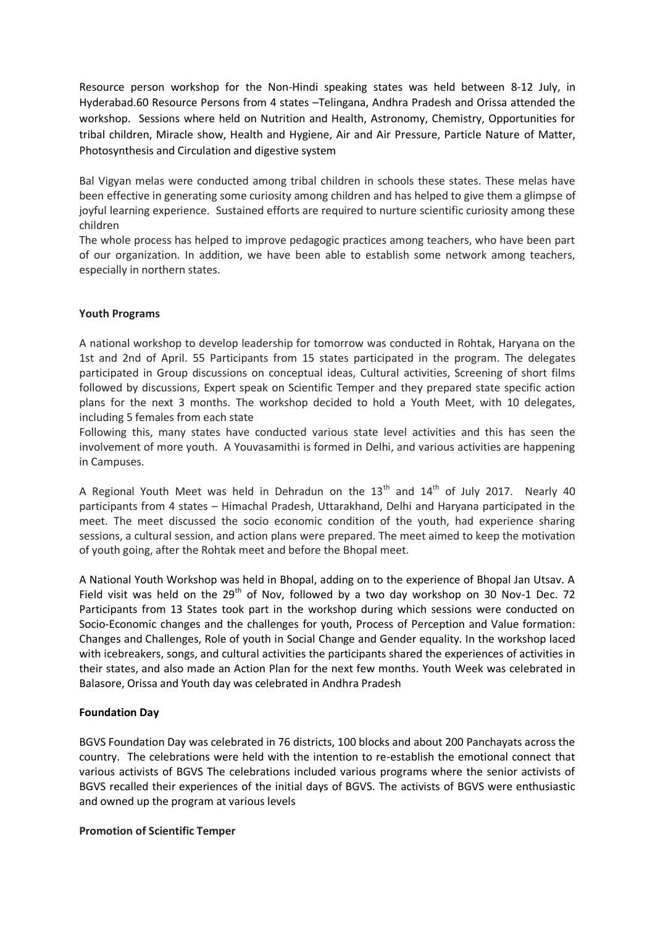Resource person workshop for the Non-Hindi speaking states was held between 8-12 July, in Hyderabad.60 Resource Persons from 4 states –Telingana, Andhra Pradesh and Orissa attended the workshop. Sessions where held on Nutrition and Health, Astronomy, Chemistry, Opportunities for tribal children, Miracle show, Health and Hygiene, Air and Air Pressure, Particle Nature of Matter, Photosynthesis and Circulation and digestive system

Bal Vigyan melas were conducted among tribal children in schools these states. These melas have been effective in generating some curiosity among children and has helped to give them a glimpse of joyful learning experience. Sustained efforts are required to nurture scientific curiosity among these children

The whole process has helped to improve pedagogic practices among teachers, who have been part of our organization. In addition, we have been able to establish some network among teachers, especially in northern states.

### **Youth Programs**

A national workshop to develop leadership for tomorrow was conducted in Rohtak, Haryana on the 1st and 2nd of April. 55 Participants from 15 states participated in the program. The delegates participated in Group discussions on conceptual ideas, Cultural activities, Screening of short films followed by discussions, Expert speak on Scientific Temper and they prepared state specific action plans for the next 3 months. The workshop decided to hold a Youth Meet, with 10 delegates, including 5 females from each state

Following this, many states have conducted various state level activities and this has seen the involvement of more youth. A Youvasamithi is formed in Delhi, and various activities are happening in Campuses.

A Regional Youth Meet was held in Dehradun on the  $13<sup>th</sup>$  and  $14<sup>th</sup>$  of July 2017. Nearly 40 participants from 4 states – Himachal Pradesh, Uttarakhand, Delhi and Haryana participated in the meet. The meet discussed the socio economic condition of the youth, had experience sharing sessions, a cultural session, and action plans were prepared. The meet aimed to keep the motivation of youth going, after the Rohtak meet and before the Bhopal meet.

A National Youth Workshop was held in Bhopal, adding on to the experience of Bhopal Jan Utsav. A Field visit was held on the  $29<sup>th</sup>$  of Nov, followed by a two day workshop on 30 Nov-1 Dec. 72 Participants from 13 States took part in the workshop during which sessions were conducted on Socio-Economic changes and the challenges for youth, Process of Perception and Value formation: Changes and Challenges, Role of youth in Social Change and Gender equality. In the workshop laced with icebreakers, songs, and cultural activities the participants shared the experiences of activities in their states, and also made an Action Plan for the next few months. Youth Week was celebrated in Balasore, Orissa and Youth day was celebrated in Andhra Pradesh

### **Foundation Day**

BGVS Foundation Day was celebrated in 76 districts, 100 blocks and about 200 Panchayats across the country. The celebrations were held with the intention to re-establish the emotional connect that various activists of BGVS The celebrations included various programs where the senior activists of BGVS recalled their experiences of the initial days of BGVS. The activists of BGVS were enthusiastic and owned up the program at various levels

### **Promotion of Scientific Temper**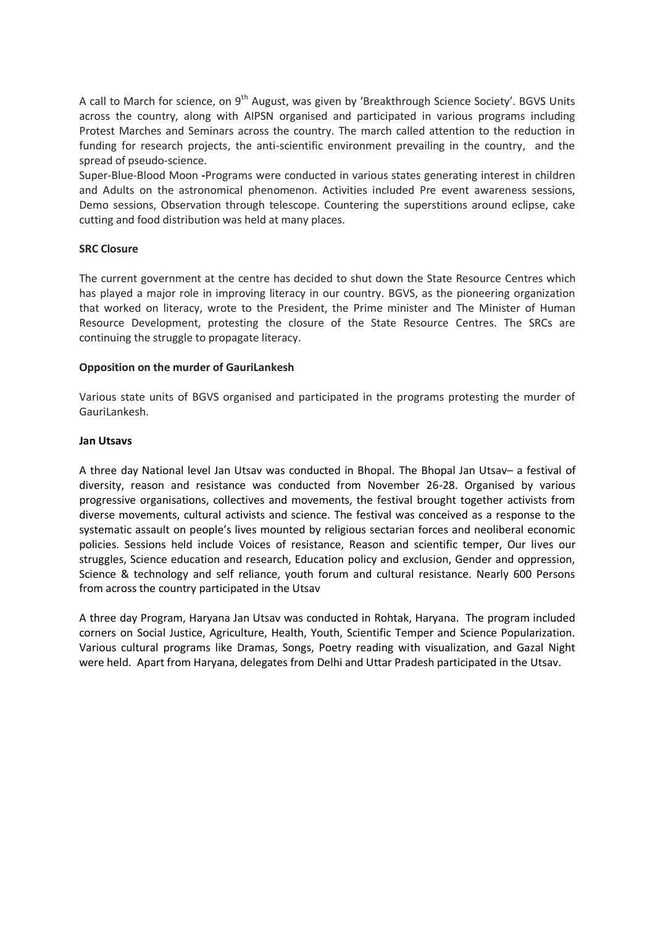A call to March for science, on 9<sup>th</sup> August, was given by 'Breakthrough Science Society'. BGVS Units across the country, along with AIPSN organised and participated in various programs including Protest Marches and Seminars across the country. The march called attention to the reduction in funding for research projects, the anti-scientific environment prevailing in the country, and the spread of pseudo-science.

Super-Blue-Blood Moon **-**Programs were conducted in various states generating interest in children and Adults on the astronomical phenomenon. Activities included Pre event awareness sessions, Demo sessions, Observation through telescope. Countering the superstitions around eclipse, cake cutting and food distribution was held at many places.

### **SRC Closure**

The current government at the centre has decided to shut down the State Resource Centres which has played a major role in improving literacy in our country. BGVS, as the pioneering organization that worked on literacy, wrote to the President, the Prime minister and The Minister of Human Resource Development, protesting the closure of the State Resource Centres. The SRCs are continuing the struggle to propagate literacy.

### **Opposition on the murder of GauriLankesh**

Various state units of BGVS organised and participated in the programs protesting the murder of GauriLankesh.

#### **Jan Utsavs**

A three day National level Jan Utsav was conducted in Bhopal. The Bhopal Jan Utsav– a festival of diversity, reason and resistance was conducted from November 26-28. Organised by various progressive organisations, collectives and movements, the festival brought together activists from diverse movements, cultural activists and science. The festival was conceived as a response to the systematic assault on people's lives mounted by religious sectarian forces and neoliberal economic policies. Sessions held include Voices of resistance, Reason and scientific temper, Our lives our struggles, Science education and research, Education policy and exclusion, Gender and oppression, Science & technology and self reliance, youth forum and cultural resistance. Nearly 600 Persons from across the country participated in the Utsav

A three day Program, Haryana Jan Utsav was conducted in Rohtak, Haryana. The program included corners on Social Justice, Agriculture, Health, Youth, Scientific Temper and Science Popularization. Various cultural programs like Dramas, Songs, Poetry reading with visualization, and Gazal Night were held. Apart from Haryana, delegates from Delhi and Uttar Pradesh participated in the Utsav.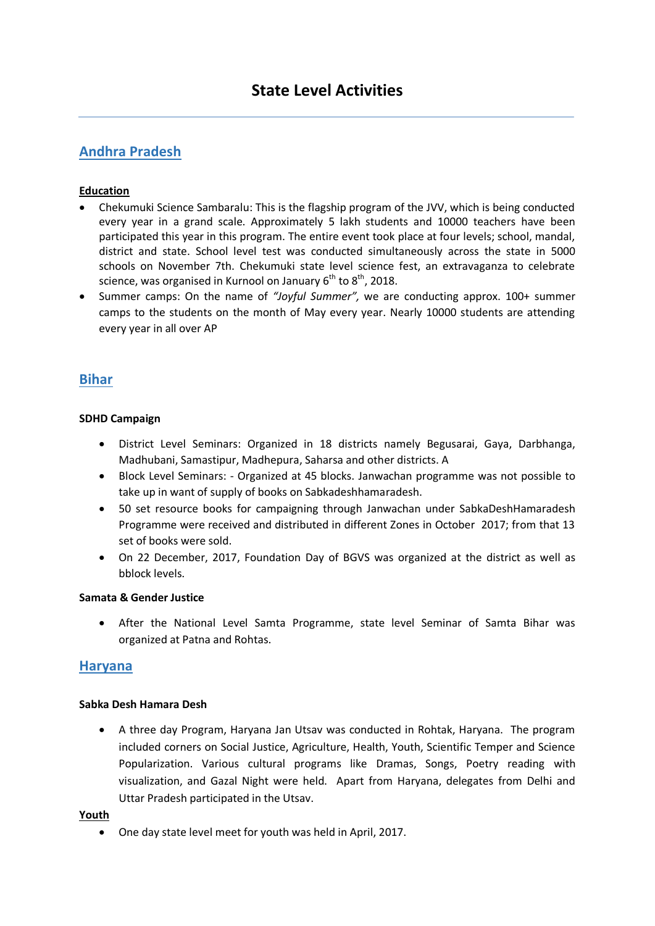### **Andhra Pradesh**

### **Education**

- Chekumuki Science Sambaralu: This is the flagship program of the JVV, which is being conducted every year in a grand scale. Approximately 5 lakh students and 10000 teachers have been participated this year in this program. The entire event took place at four levels; school, mandal, district and state. School level test was conducted simultaneously across the state in 5000 schools on November 7th. Chekumuki state level science fest, an extravaganza to celebrate science, was organised in Kurnool on January  $6<sup>th</sup>$  to  $8<sup>th</sup>$ , 2018.
- Summer camps: On the name of *"Joyful Summer",* we are conducting approx. 100+ summer camps to the students on the month of May every year. Nearly 10000 students are attending every year in all over AP

### **Bihar**

### **SDHD Campaign**

- District Level Seminars: Organized in 18 districts namely Begusarai, Gaya, Darbhanga, Madhubani, Samastipur, Madhepura, Saharsa and other districts. A
- Block Level Seminars: Organized at 45 blocks. Janwachan programme was not possible to take up in want of supply of books on Sabkadeshhamaradesh.
- 50 set resource books for campaigning through Janwachan under SabkaDeshHamaradesh Programme were received and distributed in different Zones in October 2017; from that 13 set of books were sold.
- On 22 December, 2017, Foundation Day of BGVS was organized at the district as well as bblock levels.

### **Samata & Gender Justice**

 After the National Level Samta Programme, state level Seminar of Samta Bihar was organized at Patna and Rohtas.

### **Haryana**

### **Sabka Desh Hamara Desh**

 A three day Program, Haryana Jan Utsav was conducted in Rohtak, Haryana. The program included corners on Social Justice, Agriculture, Health, Youth, Scientific Temper and Science Popularization. Various cultural programs like Dramas, Songs, Poetry reading with visualization, and Gazal Night were held. Apart from Haryana, delegates from Delhi and Uttar Pradesh participated in the Utsav.

### **Youth**

One day state level meet for youth was held in April, 2017.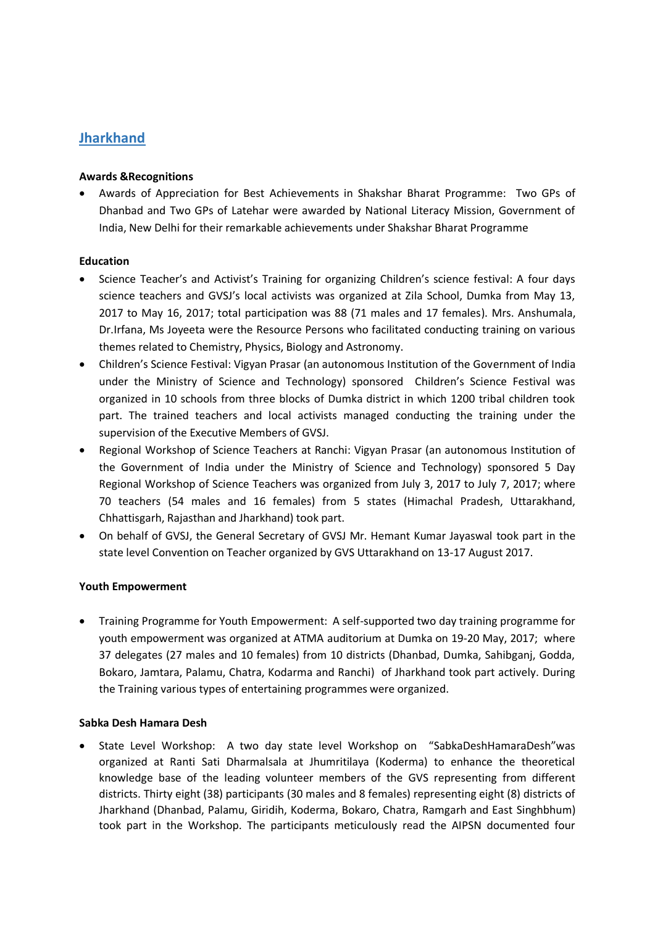### **Jharkhand**

### **Awards &Recognitions**

 Awards of Appreciation for Best Achievements in Shakshar Bharat Programme: Two GPs of Dhanbad and Two GPs of Latehar were awarded by National Literacy Mission, Government of India, New Delhi for their remarkable achievements under Shakshar Bharat Programme

### **Education**

- Science Teacher's and Activist's Training for organizing Children's science festival: A four days science teachers and GVSJ's local activists was organized at Zila School, Dumka from May 13, 2017 to May 16, 2017; total participation was 88 (71 males and 17 females). Mrs. Anshumala, Dr.Irfana, Ms Joyeeta were the Resource Persons who facilitated conducting training on various themes related to Chemistry, Physics, Biology and Astronomy.
- Children's Science Festival: Vigyan Prasar (an autonomous Institution of the Government of India under the Ministry of Science and Technology) sponsored Children's Science Festival was organized in 10 schools from three blocks of Dumka district in which 1200 tribal children took part. The trained teachers and local activists managed conducting the training under the supervision of the Executive Members of GVSJ.
- Regional Workshop of Science Teachers at Ranchi: Vigyan Prasar (an autonomous Institution of the Government of India under the Ministry of Science and Technology) sponsored 5 Day Regional Workshop of Science Teachers was organized from July 3, 2017 to July 7, 2017; where 70 teachers (54 males and 16 females) from 5 states (Himachal Pradesh, Uttarakhand, Chhattisgarh, Rajasthan and Jharkhand) took part.
- On behalf of GVSJ, the General Secretary of GVSJ Mr. Hemant Kumar Jayaswal took part in the state level Convention on Teacher organized by GVS Uttarakhand on 13-17 August 2017.

### **Youth Empowerment**

 Training Programme for Youth Empowerment: A self-supported two day training programme for youth empowerment was organized at ATMA auditorium at Dumka on 19-20 May, 2017; where 37 delegates (27 males and 10 females) from 10 districts (Dhanbad, Dumka, Sahibganj, Godda, Bokaro, Jamtara, Palamu, Chatra, Kodarma and Ranchi) of Jharkhand took part actively. During the Training various types of entertaining programmes were organized.

### **Sabka Desh Hamara Desh**

 State Level Workshop: A two day state level Workshop on "SabkaDeshHamaraDesh"was organized at Ranti Sati Dharmalsala at Jhumritilaya (Koderma) to enhance the theoretical knowledge base of the leading volunteer members of the GVS representing from different districts. Thirty eight (38) participants (30 males and 8 females) representing eight (8) districts of Jharkhand (Dhanbad, Palamu, Giridih, Koderma, Bokaro, Chatra, Ramgarh and East Singhbhum) took part in the Workshop. The participants meticulously read the AIPSN documented four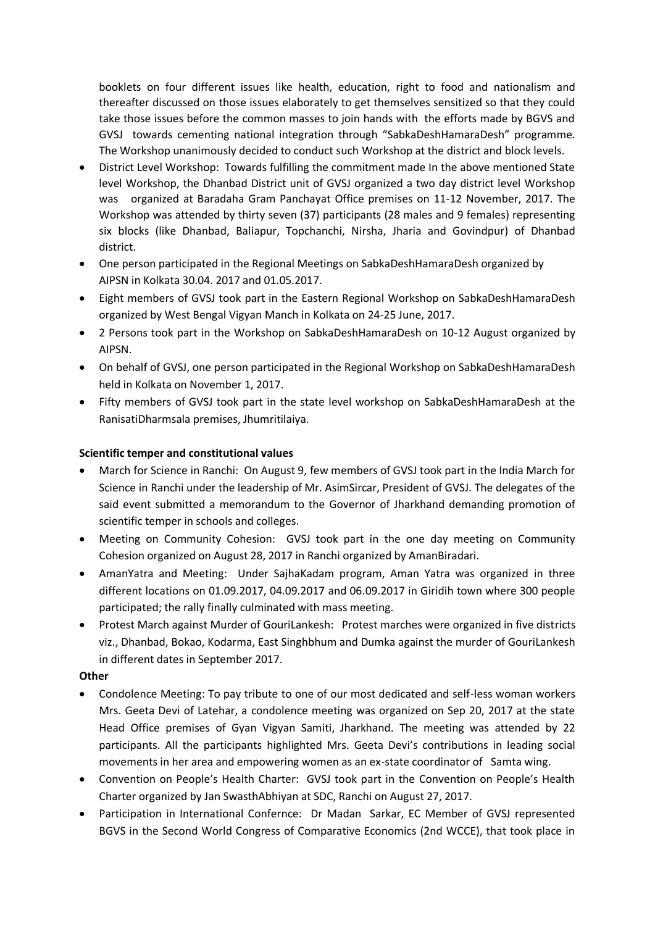booklets on four different issues like health, education, right to food and nationalism and thereafter discussed on those issues elaborately to get themselves sensitized so that they could take those issues before the common masses to join hands with the efforts made by BGVS and GVSJ towards cementing national integration through "SabkaDeshHamaraDesh" programme. The Workshop unanimously decided to conduct such Workshop at the district and block levels.

- District Level Workshop: Towards fulfilling the commitment made In the above mentioned State level Workshop, the Dhanbad District unit of GVSJ organized a two day district level Workshop was organized at Baradaha Gram Panchayat Office premises on 11-12 November, 2017. The Workshop was attended by thirty seven (37) participants (28 males and 9 females) representing six blocks (like Dhanbad, Baliapur, Topchanchi, Nirsha, Jharia and Govindpur) of Dhanbad district.
- One person participated in the Regional Meetings on SabkaDeshHamaraDesh organized by AIPSN in Kolkata 30.04. 2017 and 01.05.2017.
- Eight members of GVSJ took part in the Eastern Regional Workshop on SabkaDeshHamaraDesh organized by West Bengal Vigyan Manch in Kolkata on 24-25 June, 2017.
- 2 Persons took part in the Workshop on SabkaDeshHamaraDesh on 10-12 August organized by AIPSN.
- On behalf of GVSJ, one person participated in the Regional Workshop on SabkaDeshHamaraDesh held in Kolkata on November 1, 2017.
- Fifty members of GVSJ took part in the state level workshop on SabkaDeshHamaraDesh at the RanisatiDharmsala premises, Jhumritilaiya.

### **Scientific temper and constitutional values**

- March for Science in Ranchi: On August 9, few members of GVSJ took part in the India March for Science in Ranchi under the leadership of Mr. AsimSircar, President of GVSJ. The delegates of the said event submitted a memorandum to the Governor of Jharkhand demanding promotion of scientific temper in schools and colleges.
- Meeting on Community Cohesion: GVSJ took part in the one day meeting on Community Cohesion organized on August 28, 2017 in Ranchi organized by AmanBiradari.
- AmanYatra and Meeting: Under SajhaKadam program, Aman Yatra was organized in three different locations on 01.09.2017, 04.09.2017 and 06.09.2017 in Giridih town where 300 people participated; the rally finally culminated with mass meeting.
- Protest March against Murder of GouriLankesh: Protest marches were organized in five districts viz., Dhanbad, Bokao, Kodarma, East Singhbhum and Dumka against the murder of GouriLankesh in different dates in September 2017.

### **Other**

- Condolence Meeting: To pay tribute to one of our most dedicated and self-less woman workers Mrs. Geeta Devi of Latehar, a condolence meeting was organized on Sep 20, 2017 at the state Head Office premises of Gyan Vigyan Samiti, Jharkhand. The meeting was attended by 22 participants. All the participants highlighted Mrs. Geeta Devi's contributions in leading social movements in her area and empowering women as an ex-state coordinator of Samta wing.
- Convention on People's Health Charter: GVSJ took part in the Convention on People's Health Charter organized by Jan SwasthAbhiyan at SDC, Ranchi on August 27, 2017.
- Participation in International Confernce: Dr Madan Sarkar, EC Member of GVSJ represented BGVS in the Second World Congress of Comparative Economics (2nd WCCE), that took place in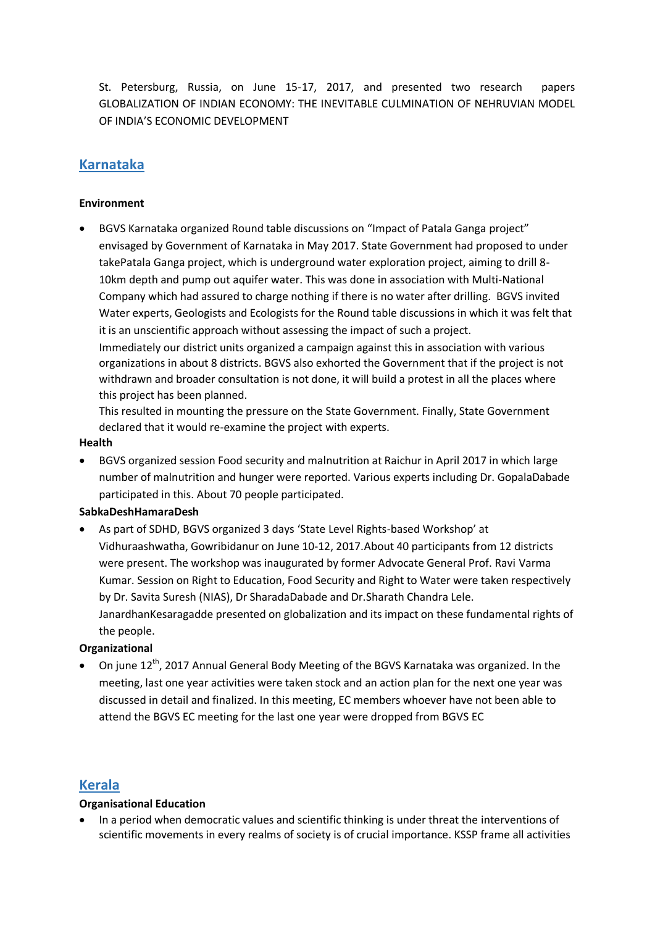St. Petersburg, Russia, on June 15-17, 2017, and presented two research papers GLOBALIZATION OF INDIAN ECONOMY: THE INEVITABLE CULMINATION OF NEHRUVIAN MODEL OF INDIA'S ECONOMIC DEVELOPMENT

### **Karnataka**

### **Environment**

 BGVS Karnataka organized Round table discussions on "Impact of Patala Ganga project" envisaged by Government of Karnataka in May 2017. State Government had proposed to under takePatala Ganga project, which is underground water exploration project, aiming to drill 8- 10km depth and pump out aquifer water. This was done in association with Multi-National Company which had assured to charge nothing if there is no water after drilling. BGVS invited Water experts, Geologists and Ecologists for the Round table discussions in which it was felt that it is an unscientific approach without assessing the impact of such a project. Immediately our district units organized a campaign against this in association with various organizations in about 8 districts. BGVS also exhorted the Government that if the project is not withdrawn and broader consultation is not done, it will build a protest in all the places where this project has been planned.

This resulted in mounting the pressure on the State Government. Finally, State Government declared that it would re-examine the project with experts.

### **Health**

 BGVS organized session Food security and malnutrition at Raichur in April 2017 in which large number of malnutrition and hunger were reported. Various experts including Dr. GopalaDabade participated in this. About 70 people participated.

### **SabkaDeshHamaraDesh**

 As part of SDHD, BGVS organized 3 days 'State Level Rights-based Workshop' at Vidhuraashwatha, Gowribidanur on June 10-12, 2017.About 40 participants from 12 districts were present. The workshop was inaugurated by former Advocate General Prof. Ravi Varma Kumar. Session on Right to Education, Food Security and Right to Water were taken respectively by Dr. Savita Suresh (NIAS), Dr SharadaDabade and Dr.Sharath Chandra Lele. JanardhanKesaragadde presented on globalization and its impact on these fundamental rights of the people.

### **Organizational**

• On june  $12^{th}$ , 2017 Annual General Body Meeting of the BGVS Karnataka was organized. In the meeting, last one year activities were taken stock and an action plan for the next one year was discussed in detail and finalized. In this meeting, EC members whoever have not been able to attend the BGVS EC meeting for the last one year were dropped from BGVS EC

### **Kerala**

### **Organisational Education**

 In a period when democratic values and scientific thinking is under threat the interventions of scientific movements in every realms of society is of crucial importance. KSSP frame all activities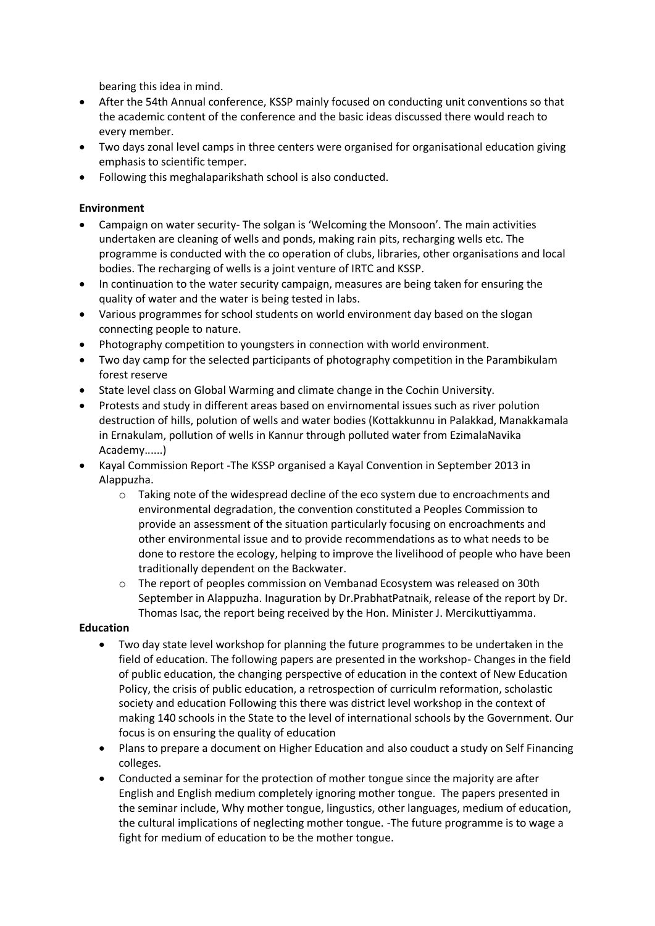bearing this idea in mind.

- After the 54th Annual conference, KSSP mainly focused on conducting unit conventions so that the academic content of the conference and the basic ideas discussed there would reach to every member.
- Two days zonal level camps in three centers were organised for organisational education giving emphasis to scientific temper.
- Following this meghalaparikshath school is also conducted.

### **Environment**

- Campaign on water security- The solgan is 'Welcoming the Monsoon'. The main activities undertaken are cleaning of wells and ponds, making rain pits, recharging wells etc. The programme is conducted with the co operation of clubs, libraries, other organisations and local bodies. The recharging of wells is a joint venture of IRTC and KSSP.
- In continuation to the water security campaign, measures are being taken for ensuring the quality of water and the water is being tested in labs.
- Various programmes for school students on world environment day based on the slogan connecting people to nature.
- Photography competition to youngsters in connection with world environment.
- Two day camp for the selected participants of photography competition in the Parambikulam forest reserve
- State level class on Global Warming and climate change in the Cochin University.
- Protests and study in different areas based on envirnomental issues such as river polution destruction of hills, polution of wells and water bodies (Kottakkunnu in Palakkad, Manakkamala in Ernakulam, pollution of wells in Kannur through polluted water from EzimalaNavika Academy......)
- Kayal Commission Report -The KSSP organised a Kayal Convention in September 2013 in Alappuzha.
	- o Taking note of the widespread decline of the eco system due to encroachments and environmental degradation, the convention constituted a Peoples Commission to provide an assessment of the situation particularly focusing on encroachments and other environmental issue and to provide recommendations as to what needs to be done to restore the ecology, helping to improve the livelihood of people who have been traditionally dependent on the Backwater.
	- o The report of peoples commission on Vembanad Ecosystem was released on 30th September in Alappuzha. Inaguration by Dr.PrabhatPatnaik, release of the report by Dr. Thomas Isac, the report being received by the Hon. Minister J. Mercikuttiyamma.

### **Education**

- Two day state level workshop for planning the future programmes to be undertaken in the field of education. The following papers are presented in the workshop- Changes in the field of public education, the changing perspective of education in the context of New Education Policy, the crisis of public education, a retrospection of curriculm reformation, scholastic society and education Following this there was district level workshop in the context of making 140 schools in the State to the level of international schools by the Government. Our focus is on ensuring the quality of education
- Plans to prepare a document on Higher Education and also couduct a study on Self Financing colleges.
- Conducted a seminar for the protection of mother tongue since the majority are after English and English medium completely ignoring mother tongue. The papers presented in the seminar include, Why mother tongue, lingustics, other languages, medium of education, the cultural implications of neglecting mother tongue. -The future programme is to wage a fight for medium of education to be the mother tongue.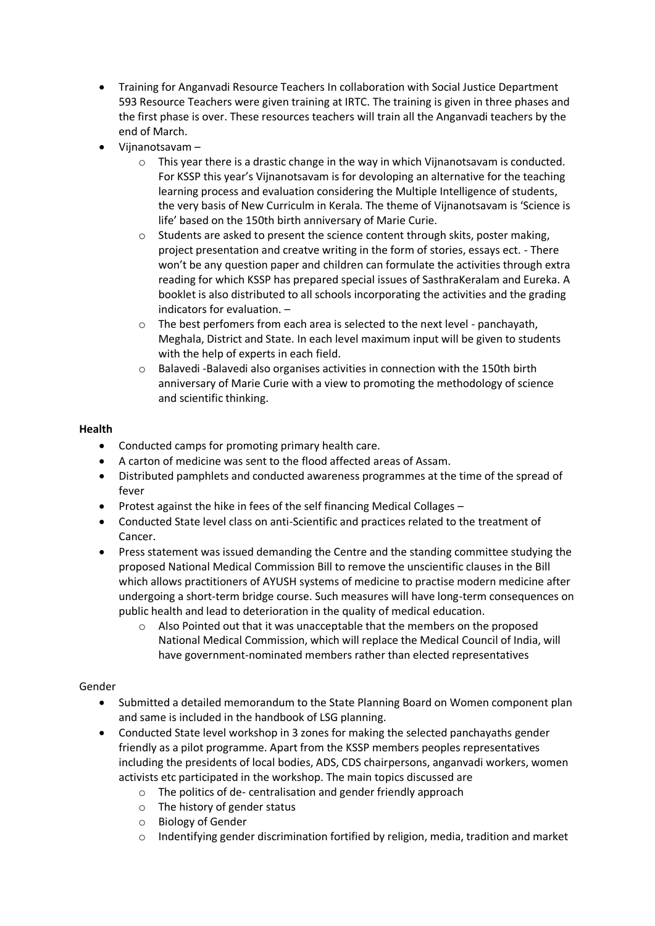- Training for Anganvadi Resource Teachers In collaboration with Social Justice Department 593 Resource Teachers were given training at IRTC. The training is given in three phases and the first phase is over. These resources teachers will train all the Anganvadi teachers by the end of March.
- Vijnanotsavam
	- $\circ$  This year there is a drastic change in the way in which Vijnanotsavam is conducted. For KSSP this year's Vijnanotsavam is for devoloping an alternative for the teaching learning process and evaluation considering the Multiple Intelligence of students, the very basis of New Curriculm in Kerala. The theme of Vijnanotsavam is 'Science is life' based on the 150th birth anniversary of Marie Curie.
	- $\circ$  Students are asked to present the science content through skits, poster making, project presentation and creatve writing in the form of stories, essays ect. - There won't be any question paper and children can formulate the activities through extra reading for which KSSP has prepared special issues of SasthraKeralam and Eureka. A booklet is also distributed to all schools incorporating the activities and the grading indicators for evaluation. –
	- o The best perfomers from each area is selected to the next level panchayath, Meghala, District and State. In each level maximum input will be given to students with the help of experts in each field.
	- $\circ$  Balavedi -Balavedi also organises activities in connection with the 150th birth anniversary of Marie Curie with a view to promoting the methodology of science and scientific thinking.

### **Health**

- Conducted camps for promoting primary health care.
- A carton of medicine was sent to the flood affected areas of Assam.
- Distributed pamphlets and conducted awareness programmes at the time of the spread of fever
- Protest against the hike in fees of the self financing Medical Collages –
- Conducted State level class on anti-Scientific and practices related to the treatment of Cancer.
- Press statement was issued demanding the Centre and the standing committee studying the proposed National Medical Commission Bill to remove the unscientific clauses in the Bill which allows practitioners of AYUSH systems of medicine to practise modern medicine after undergoing a short-term bridge course. Such measures will have long-term consequences on public health and lead to deterioration in the quality of medical education.
	- $\circ$  Also Pointed out that it was unacceptable that the members on the proposed National Medical Commission, which will replace the Medical Council of India, will have government-nominated members rather than elected representatives

### Gender

- Submitted a detailed memorandum to the State Planning Board on Women component plan and same is included in the handbook of LSG planning.
- Conducted State level workshop in 3 zones for making the selected panchayaths gender friendly as a pilot programme. Apart from the KSSP members peoples representatives including the presidents of local bodies, ADS, CDS chairpersons, anganvadi workers, women activists etc participated in the workshop. The main topics discussed are
	- o The politics of de- centralisation and gender friendly approach
	- o The history of gender status
	- o Biology of Gender
	- $\circ$  Indentifying gender discrimination fortified by religion, media, tradition and market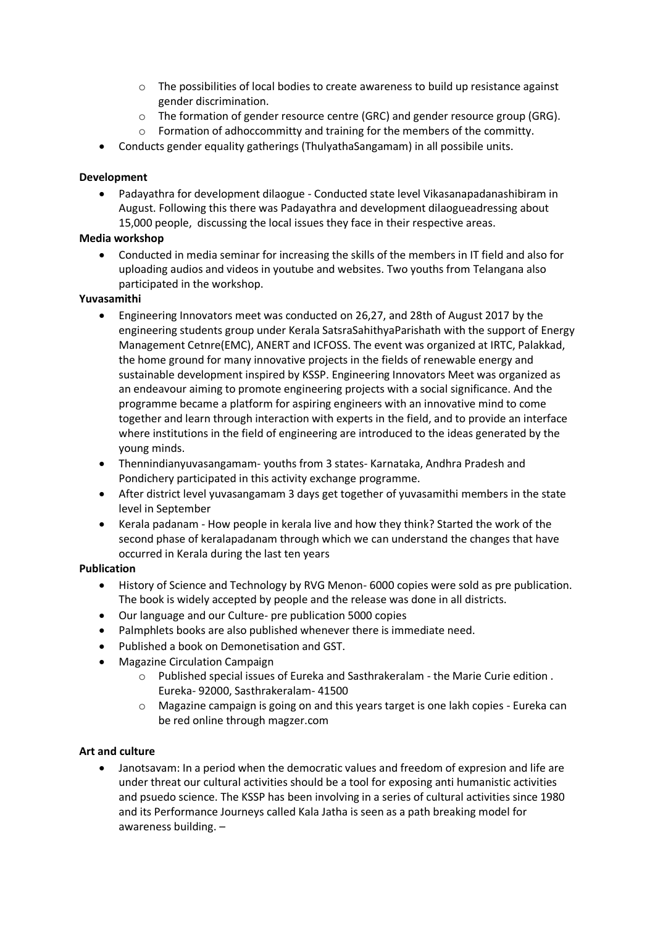- $\circ$  The possibilities of local bodies to create awareness to build up resistance against gender discrimination.
- $\circ$  The formation of gender resource centre (GRC) and gender resource group (GRG).
- $\circ$  Formation of adhoccommitty and training for the members of the committy.
- Conducts gender equality gatherings (ThulyathaSangamam) in all possibile units.

### **Development**

 Padayathra for development dilaogue - Conducted state level Vikasanapadanashibiram in August. Following this there was Padayathra and development dilaogueadressing about 15,000 people, discussing the local issues they face in their respective areas.

### **Media workshop**

 Conducted in media seminar for increasing the skills of the members in IT field and also for uploading audios and videos in youtube and websites. Two youths from Telangana also participated in the workshop.

### **Yuvasamithi**

- Engineering Innovators meet was conducted on 26,27, and 28th of August 2017 by the engineering students group under Kerala SatsraSahithyaParishath with the support of Energy Management Cetnre(EMC), ANERT and ICFOSS. The event was organized at IRTC, Palakkad, the home ground for many innovative projects in the fields of renewable energy and sustainable development inspired by KSSP. Engineering Innovators Meet was organized as an endeavour aiming to promote engineering projects with a social significance. And the programme became a platform for aspiring engineers with an innovative mind to come together and learn through interaction with experts in the field, and to provide an interface where institutions in the field of engineering are introduced to the ideas generated by the young minds.
- Thennindianyuvasangamam- youths from 3 states- Karnataka, Andhra Pradesh and Pondichery participated in this activity exchange programme.
- After district level yuvasangamam 3 days get together of yuvasamithi members in the state level in September
- Kerala padanam How people in kerala live and how they think? Started the work of the second phase of keralapadanam through which we can understand the changes that have occurred in Kerala during the last ten years

### **Publication**

- History of Science and Technology by RVG Menon- 6000 copies were sold as pre publication. The book is widely accepted by people and the release was done in all districts.
- Our language and our Culture- pre publication 5000 copies
- Palmphlets books are also published whenever there is immediate need.
- Published a book on Demonetisation and GST.
- Magazine Circulation Campaign
	- o Published special issues of Eureka and Sasthrakeralam the Marie Curie edition . Eureka- 92000, Sasthrakeralam- 41500
	- o Magazine campaign is going on and this years target is one lakh copies Eureka can be red online through magzer.com

### **Art and culture**

 Janotsavam: In a period when the democratic values and freedom of expresion and life are under threat our cultural activities should be a tool for exposing anti humanistic activities and psuedo science. The KSSP has been involving in a series of cultural activities since 1980 and its Performance Journeys called Kala Jatha is seen as a path breaking model for awareness building. –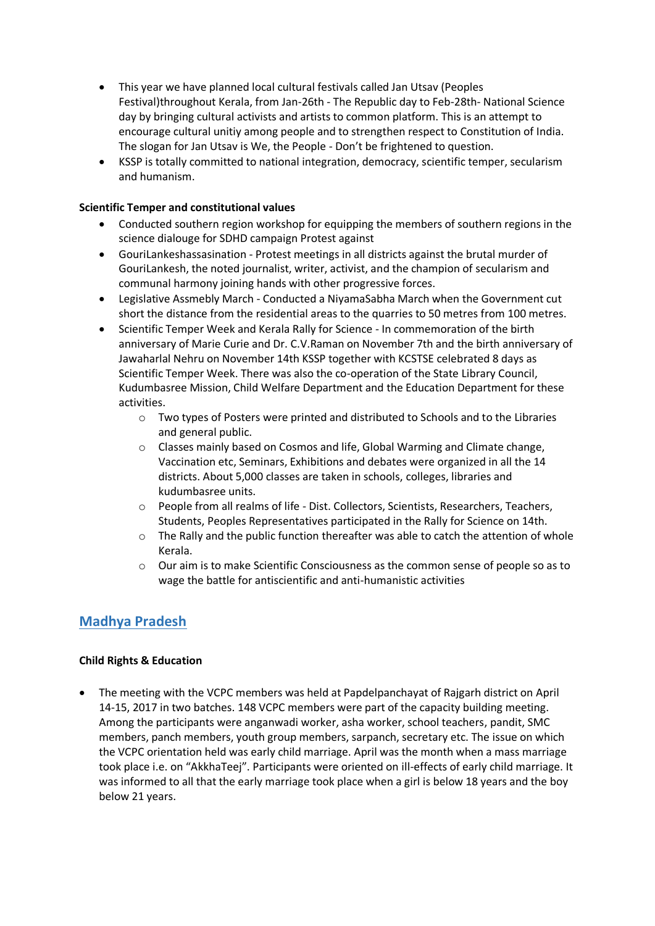- This year we have planned local cultural festivals called Jan Utsav (Peoples Festival)throughout Kerala, from Jan-26th - The Republic day to Feb-28th- National Science day by bringing cultural activists and artists to common platform. This is an attempt to encourage cultural unitiy among people and to strengthen respect to Constitution of India. The slogan for Jan Utsav is We, the People - Don't be frightened to question.
- KSSP is totally committed to national integration, democracy, scientific temper, secularism and humanism.

### **Scientific Temper and constitutional values**

- Conducted southern region workshop for equipping the members of southern regions in the science dialouge for SDHD campaign Protest against
- GouriLankeshassasination Protest meetings in all districts against the brutal murder of GouriLankesh, the noted journalist, writer, activist, and the champion of secularism and communal harmony joining hands with other progressive forces.
- Legislative Assmebly March Conducted a NiyamaSabha March when the Government cut short the distance from the residential areas to the quarries to 50 metres from 100 metres.
- Scientific Temper Week and Kerala Rally for Science In commemoration of the birth anniversary of Marie Curie and Dr. C.V.Raman on November 7th and the birth anniversary of Jawaharlal Nehru on November 14th KSSP together with KCSTSE celebrated 8 days as Scientific Temper Week. There was also the co-operation of the State Library Council, Kudumbasree Mission, Child Welfare Department and the Education Department for these activities.
	- $\circ$  Two types of Posters were printed and distributed to Schools and to the Libraries and general public.
	- o Classes mainly based on Cosmos and life, Global Warming and Climate change, Vaccination etc, Seminars, Exhibitions and debates were organized in all the 14 districts. About 5,000 classes are taken in schools, colleges, libraries and kudumbasree units.
	- o People from all realms of life Dist. Collectors, Scientists, Researchers, Teachers, Students, Peoples Representatives participated in the Rally for Science on 14th.
	- $\circ$  The Rally and the public function thereafter was able to catch the attention of whole Kerala.
	- o Our aim is to make Scientific Consciousness as the common sense of people so as to wage the battle for antiscientific and anti-humanistic activities

### **Madhya Pradesh**

### **Child Rights & Education**

 The meeting with the VCPC members was held at Papdelpanchayat of Rajgarh district on April 14-15, 2017 in two batches. 148 VCPC members were part of the capacity building meeting. Among the participants were anganwadi worker, asha worker, school teachers, pandit, SMC members, panch members, youth group members, sarpanch, secretary etc. The issue on which the VCPC orientation held was early child marriage. April was the month when a mass marriage took place i.e. on "AkkhaTeej". Participants were oriented on ill-effects of early child marriage. It was informed to all that the early marriage took place when a girl is below 18 years and the boy below 21 years.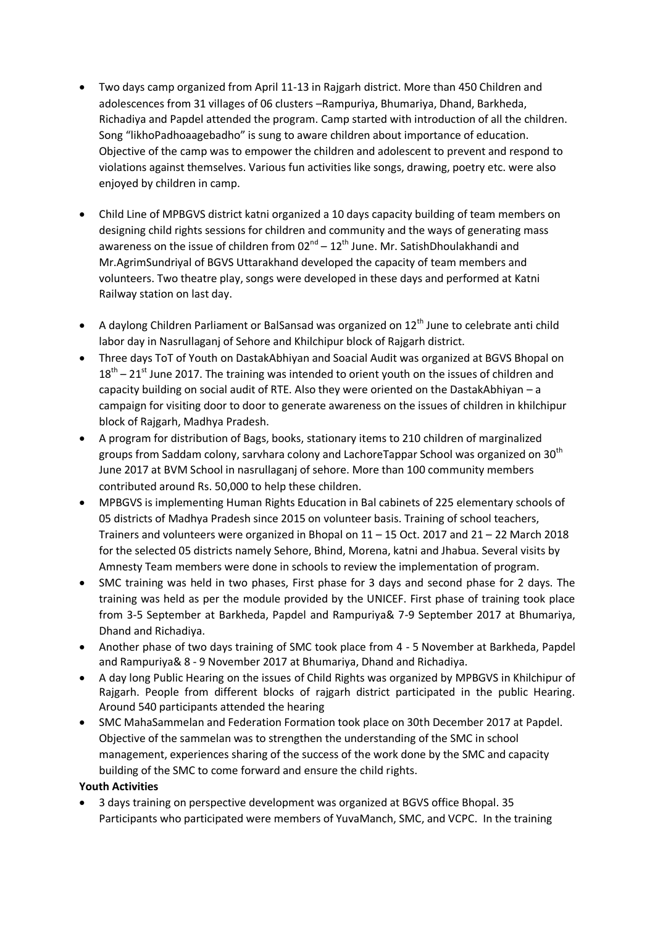- Two days camp organized from April 11-13 in Rajgarh district. More than 450 Children and adolescences from 31 villages of 06 clusters –Rampuriya, Bhumariya, Dhand, Barkheda, Richadiya and Papdel attended the program. Camp started with introduction of all the children. Song "likhoPadhoaagebadho" is sung to aware children about importance of education. Objective of the camp was to empower the children and adolescent to prevent and respond to violations against themselves. Various fun activities like songs, drawing, poetry etc. were also enjoyed by children in camp.
- Child Line of MPBGVS district katni organized a 10 days capacity building of team members on designing child rights sessions for children and community and the ways of generating mass awareness on the issue of children from  $02^{nd} - 12^{th}$  June. Mr. SatishDhoulakhandi and Mr.AgrimSundriyal of BGVS Uttarakhand developed the capacity of team members and volunteers. Two theatre play, songs were developed in these days and performed at Katni Railway station on last day.
- A daylong Children Parliament or BalSansad was organized on  $12<sup>th</sup>$  June to celebrate anti child labor day in Nasrullaganj of Sehore and Khilchipur block of Rajgarh district.
- Three days ToT of Youth on DastakAbhiyan and Soacial Audit was organized at BGVS Bhopal on  $18<sup>th</sup> - 21<sup>st</sup>$  June 2017. The training was intended to orient youth on the issues of children and capacity building on social audit of RTE. Also they were oriented on the DastakAbhiyan – a campaign for visiting door to door to generate awareness on the issues of children in khilchipur block of Rajgarh, Madhya Pradesh.
- A program for distribution of Bags, books, stationary items to 210 children of marginalized groups from Saddam colony, sarvhara colony and LachoreTappar School was organized on 30<sup>th</sup> June 2017 at BVM School in nasrullaganj of sehore. More than 100 community members contributed around Rs. 50,000 to help these children.
- MPBGVS is implementing Human Rights Education in Bal cabinets of 225 elementary schools of 05 districts of Madhya Pradesh since 2015 on volunteer basis. Training of school teachers, Trainers and volunteers were organized in Bhopal on 11 – 15 Oct. 2017 and 21 – 22 March 2018 for the selected 05 districts namely Sehore, Bhind, Morena, katni and Jhabua. Several visits by Amnesty Team members were done in schools to review the implementation of program.
- SMC training was held in two phases, First phase for 3 days and second phase for 2 days. The training was held as per the module provided by the UNICEF. First phase of training took place from 3-5 September at Barkheda, Papdel and Rampuriya& 7-9 September 2017 at Bhumariya, Dhand and Richadiya.
- Another phase of two days training of SMC took place from 4 5 November at Barkheda, Papdel and Rampuriya& 8 - 9 November 2017 at Bhumariya, Dhand and Richadiya.
- A day long Public Hearing on the issues of Child Rights was organized by MPBGVS in Khilchipur of Rajgarh. People from different blocks of rajgarh district participated in the public Hearing. Around 540 participants attended the hearing
- SMC MahaSammelan and Federation Formation took place on 30th December 2017 at Papdel. Objective of the sammelan was to strengthen the understanding of the SMC in school management, experiences sharing of the success of the work done by the SMC and capacity building of the SMC to come forward and ensure the child rights.

### **Youth Activities**

 3 days training on perspective development was organized at BGVS office Bhopal. 35 Participants who participated were members of YuvaManch, SMC, and VCPC. In the training